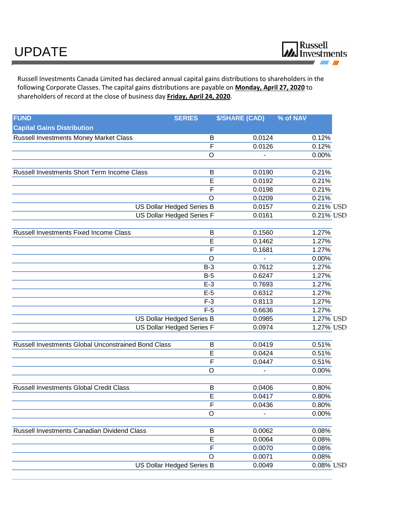

Russell Investments Canada Limited has declared annual capital gains distributions to shareholders in the following Corporate Classes. The capital gains distributions are payable on **Monday, April 27, 2020** to shareholders of record at the close of business day **Friday, April 24, 2020**.

| <b>Capital Gains Distribution</b><br>Russell Investments Money Market Class<br>0.0124<br>B<br>0.12%<br>$\overline{\mathsf{F}}$<br>0.0126<br>0.12%<br>$\circ$<br>0.00%<br>Russell Investments Short Term Income Class<br>0.21%<br>B<br>0.0190<br>E<br>0.0192<br>0.21%<br>$\overline{\mathsf{F}}$<br>0.21%<br>0.0198<br>0.21%<br>$\circ$<br>0.0209<br>US Dollar Hedged Series B<br>0.0157<br>US Dollar Hedged Series F<br>0.0161<br>Russell Investments Fixed Income Class<br>0.1560<br>1.27%<br>B<br>$\overline{E}$<br>1.27%<br>0.1462<br>$\overline{\mathsf{F}}$<br>1.27%<br>0.1681<br>$\circ$<br>0.00%<br>0.7612<br>$B-3$<br>1.27%<br>$B-5$<br>1.27%<br>0.6247<br>1.27%<br>$E-3$<br>0.7693<br>$E-5$<br>0.6312<br>1.27%<br>$F-3$<br>1.27%<br>0.8113<br>$F-5$<br>0.6636<br>1.27%<br>US Dollar Hedged Series B<br>0.0985<br><b>US Dollar Hedged Series F</b><br>0.0974<br>Russell Investments Global Unconstrained Bond Class<br>B<br>0.0419<br>0.51%<br>E<br>0.0424<br>0.51%<br>$\overline{\mathsf{F}}$<br>0.0447<br>0.51%<br>$\circ$<br>0.00%<br>Russell Investments Global Credit Class<br>0.0406<br>B<br>0.80%<br>E<br>0.0417<br>0.80%<br>$\overline{\mathsf{F}}$<br>0.0436<br>0.80%<br>0.00%<br>$\circ$<br>Russell Investments Canadian Dividend Class<br>0.0062<br>0.08%<br>B<br>E<br>0.0064<br>0.08%<br>$\overline{\mathsf{F}}$<br>0.0070<br>0.08%<br>$\circ$<br>0.0071<br>0.08%<br>US Dollar Hedged Series B<br>0.0049<br>0.08% USD | <b>FUND</b> | <b>SERIES</b> | <b>\$/SHARE (CAD)</b> | % of NAV |
|-------------------------------------------------------------------------------------------------------------------------------------------------------------------------------------------------------------------------------------------------------------------------------------------------------------------------------------------------------------------------------------------------------------------------------------------------------------------------------------------------------------------------------------------------------------------------------------------------------------------------------------------------------------------------------------------------------------------------------------------------------------------------------------------------------------------------------------------------------------------------------------------------------------------------------------------------------------------------------------------------------------------------------------------------------------------------------------------------------------------------------------------------------------------------------------------------------------------------------------------------------------------------------------------------------------------------------------------------------------------------------------------------------------------------------------------|-------------|---------------|-----------------------|----------|
| 0.21% USD<br>0.21% USD<br>1.27% USD<br>1.27% USD                                                                                                                                                                                                                                                                                                                                                                                                                                                                                                                                                                                                                                                                                                                                                                                                                                                                                                                                                                                                                                                                                                                                                                                                                                                                                                                                                                                          |             |               |                       |          |
|                                                                                                                                                                                                                                                                                                                                                                                                                                                                                                                                                                                                                                                                                                                                                                                                                                                                                                                                                                                                                                                                                                                                                                                                                                                                                                                                                                                                                                           |             |               |                       |          |
|                                                                                                                                                                                                                                                                                                                                                                                                                                                                                                                                                                                                                                                                                                                                                                                                                                                                                                                                                                                                                                                                                                                                                                                                                                                                                                                                                                                                                                           |             |               |                       |          |
|                                                                                                                                                                                                                                                                                                                                                                                                                                                                                                                                                                                                                                                                                                                                                                                                                                                                                                                                                                                                                                                                                                                                                                                                                                                                                                                                                                                                                                           |             |               |                       |          |
|                                                                                                                                                                                                                                                                                                                                                                                                                                                                                                                                                                                                                                                                                                                                                                                                                                                                                                                                                                                                                                                                                                                                                                                                                                                                                                                                                                                                                                           |             |               |                       |          |
|                                                                                                                                                                                                                                                                                                                                                                                                                                                                                                                                                                                                                                                                                                                                                                                                                                                                                                                                                                                                                                                                                                                                                                                                                                                                                                                                                                                                                                           |             |               |                       |          |
|                                                                                                                                                                                                                                                                                                                                                                                                                                                                                                                                                                                                                                                                                                                                                                                                                                                                                                                                                                                                                                                                                                                                                                                                                                                                                                                                                                                                                                           |             |               |                       |          |
|                                                                                                                                                                                                                                                                                                                                                                                                                                                                                                                                                                                                                                                                                                                                                                                                                                                                                                                                                                                                                                                                                                                                                                                                                                                                                                                                                                                                                                           |             |               |                       |          |
|                                                                                                                                                                                                                                                                                                                                                                                                                                                                                                                                                                                                                                                                                                                                                                                                                                                                                                                                                                                                                                                                                                                                                                                                                                                                                                                                                                                                                                           |             |               |                       |          |
|                                                                                                                                                                                                                                                                                                                                                                                                                                                                                                                                                                                                                                                                                                                                                                                                                                                                                                                                                                                                                                                                                                                                                                                                                                                                                                                                                                                                                                           |             |               |                       |          |
|                                                                                                                                                                                                                                                                                                                                                                                                                                                                                                                                                                                                                                                                                                                                                                                                                                                                                                                                                                                                                                                                                                                                                                                                                                                                                                                                                                                                                                           |             |               |                       |          |
|                                                                                                                                                                                                                                                                                                                                                                                                                                                                                                                                                                                                                                                                                                                                                                                                                                                                                                                                                                                                                                                                                                                                                                                                                                                                                                                                                                                                                                           |             |               |                       |          |
|                                                                                                                                                                                                                                                                                                                                                                                                                                                                                                                                                                                                                                                                                                                                                                                                                                                                                                                                                                                                                                                                                                                                                                                                                                                                                                                                                                                                                                           |             |               |                       |          |
|                                                                                                                                                                                                                                                                                                                                                                                                                                                                                                                                                                                                                                                                                                                                                                                                                                                                                                                                                                                                                                                                                                                                                                                                                                                                                                                                                                                                                                           |             |               |                       |          |
|                                                                                                                                                                                                                                                                                                                                                                                                                                                                                                                                                                                                                                                                                                                                                                                                                                                                                                                                                                                                                                                                                                                                                                                                                                                                                                                                                                                                                                           |             |               |                       |          |
|                                                                                                                                                                                                                                                                                                                                                                                                                                                                                                                                                                                                                                                                                                                                                                                                                                                                                                                                                                                                                                                                                                                                                                                                                                                                                                                                                                                                                                           |             |               |                       |          |
|                                                                                                                                                                                                                                                                                                                                                                                                                                                                                                                                                                                                                                                                                                                                                                                                                                                                                                                                                                                                                                                                                                                                                                                                                                                                                                                                                                                                                                           |             |               |                       |          |
|                                                                                                                                                                                                                                                                                                                                                                                                                                                                                                                                                                                                                                                                                                                                                                                                                                                                                                                                                                                                                                                                                                                                                                                                                                                                                                                                                                                                                                           |             |               |                       |          |
|                                                                                                                                                                                                                                                                                                                                                                                                                                                                                                                                                                                                                                                                                                                                                                                                                                                                                                                                                                                                                                                                                                                                                                                                                                                                                                                                                                                                                                           |             |               |                       |          |
|                                                                                                                                                                                                                                                                                                                                                                                                                                                                                                                                                                                                                                                                                                                                                                                                                                                                                                                                                                                                                                                                                                                                                                                                                                                                                                                                                                                                                                           |             |               |                       |          |
|                                                                                                                                                                                                                                                                                                                                                                                                                                                                                                                                                                                                                                                                                                                                                                                                                                                                                                                                                                                                                                                                                                                                                                                                                                                                                                                                                                                                                                           |             |               |                       |          |
|                                                                                                                                                                                                                                                                                                                                                                                                                                                                                                                                                                                                                                                                                                                                                                                                                                                                                                                                                                                                                                                                                                                                                                                                                                                                                                                                                                                                                                           |             |               |                       |          |
|                                                                                                                                                                                                                                                                                                                                                                                                                                                                                                                                                                                                                                                                                                                                                                                                                                                                                                                                                                                                                                                                                                                                                                                                                                                                                                                                                                                                                                           |             |               |                       |          |
|                                                                                                                                                                                                                                                                                                                                                                                                                                                                                                                                                                                                                                                                                                                                                                                                                                                                                                                                                                                                                                                                                                                                                                                                                                                                                                                                                                                                                                           |             |               |                       |          |
|                                                                                                                                                                                                                                                                                                                                                                                                                                                                                                                                                                                                                                                                                                                                                                                                                                                                                                                                                                                                                                                                                                                                                                                                                                                                                                                                                                                                                                           |             |               |                       |          |
|                                                                                                                                                                                                                                                                                                                                                                                                                                                                                                                                                                                                                                                                                                                                                                                                                                                                                                                                                                                                                                                                                                                                                                                                                                                                                                                                                                                                                                           |             |               |                       |          |
|                                                                                                                                                                                                                                                                                                                                                                                                                                                                                                                                                                                                                                                                                                                                                                                                                                                                                                                                                                                                                                                                                                                                                                                                                                                                                                                                                                                                                                           |             |               |                       |          |
|                                                                                                                                                                                                                                                                                                                                                                                                                                                                                                                                                                                                                                                                                                                                                                                                                                                                                                                                                                                                                                                                                                                                                                                                                                                                                                                                                                                                                                           |             |               |                       |          |
|                                                                                                                                                                                                                                                                                                                                                                                                                                                                                                                                                                                                                                                                                                                                                                                                                                                                                                                                                                                                                                                                                                                                                                                                                                                                                                                                                                                                                                           |             |               |                       |          |
|                                                                                                                                                                                                                                                                                                                                                                                                                                                                                                                                                                                                                                                                                                                                                                                                                                                                                                                                                                                                                                                                                                                                                                                                                                                                                                                                                                                                                                           |             |               |                       |          |
|                                                                                                                                                                                                                                                                                                                                                                                                                                                                                                                                                                                                                                                                                                                                                                                                                                                                                                                                                                                                                                                                                                                                                                                                                                                                                                                                                                                                                                           |             |               |                       |          |
|                                                                                                                                                                                                                                                                                                                                                                                                                                                                                                                                                                                                                                                                                                                                                                                                                                                                                                                                                                                                                                                                                                                                                                                                                                                                                                                                                                                                                                           |             |               |                       |          |
|                                                                                                                                                                                                                                                                                                                                                                                                                                                                                                                                                                                                                                                                                                                                                                                                                                                                                                                                                                                                                                                                                                                                                                                                                                                                                                                                                                                                                                           |             |               |                       |          |
|                                                                                                                                                                                                                                                                                                                                                                                                                                                                                                                                                                                                                                                                                                                                                                                                                                                                                                                                                                                                                                                                                                                                                                                                                                                                                                                                                                                                                                           |             |               |                       |          |
|                                                                                                                                                                                                                                                                                                                                                                                                                                                                                                                                                                                                                                                                                                                                                                                                                                                                                                                                                                                                                                                                                                                                                                                                                                                                                                                                                                                                                                           |             |               |                       |          |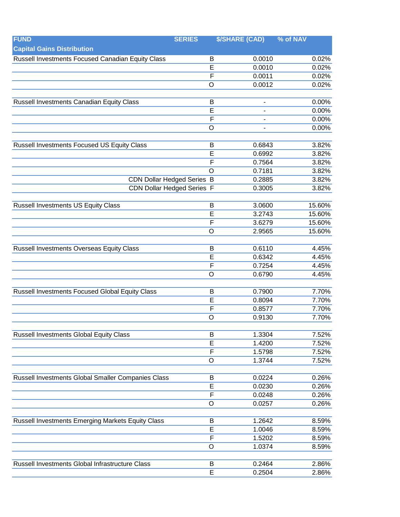| <b>FUND</b>                                            | <b>SERIES</b>  | <b>\$/SHARE (CAD)</b>                 | % of NAV |
|--------------------------------------------------------|----------------|---------------------------------------|----------|
| <b>Capital Gains Distribution</b>                      |                |                                       |          |
| Russell Investments Focused Canadian Equity Class      |                | 0.0010<br>B                           | 0.02%    |
|                                                        |                | E<br>0.0010                           | 0.02%    |
|                                                        |                | $\overline{F}$<br>0.0011              | 0.02%    |
|                                                        | $\circ$        | 0.0012                                | 0.02%    |
|                                                        |                |                                       |          |
| Russell Investments Canadian Equity Class              |                | B                                     | 0.00%    |
|                                                        |                | E                                     | 0.00%    |
|                                                        |                | $\overline{F}$                        | 0.00%    |
|                                                        | $\overline{O}$ |                                       | 0.00%    |
|                                                        |                |                                       |          |
| Russell Investments Focused US Equity Class            |                | 0.6843<br>B                           | 3.82%    |
|                                                        |                | E<br>0.6992                           | 3.82%    |
|                                                        |                | F<br>0.7564                           | 3.82%    |
|                                                        | $\circ$        | 0.7181                                | 3.82%    |
| <b>CDN Dollar Hedged Series B</b>                      |                | 0.2885                                | 3.82%    |
| <b>CDN Dollar Hedged Series F</b>                      |                | 0.3005                                | 3.82%    |
|                                                        |                |                                       |          |
| <b>Russell Investments US Equity Class</b>             |                | 3.0600<br>B                           | 15.60%   |
|                                                        |                | $\overline{E}$<br>3.2743              | 15.60%   |
|                                                        |                | $\overline{F}$<br>3.6279              | 15.60%   |
|                                                        | $\circ$        | 2.9565                                | 15.60%   |
|                                                        |                |                                       |          |
| Russell Investments Overseas Equity Class              |                | 0.6110<br>B                           | 4.45%    |
|                                                        |                | 0.6342<br>E<br>$\mathsf{F}$<br>0.7254 | 4.45%    |
|                                                        | $\circ$        |                                       | 4.45%    |
|                                                        |                | 0.6790                                | 4.45%    |
| <b>Russell Investments Focused Global Equity Class</b> |                | 0.7900<br>B                           | 7.70%    |
|                                                        |                | E<br>0.8094                           | 7.70%    |
|                                                        |                | $\mathsf{F}$<br>0.8577                | 7.70%    |
|                                                        | $\circ$        | 0.9130                                | 7.70%    |
|                                                        |                |                                       |          |
| <b>Russell Investments Global Equity Class</b>         |                | 1.3304<br>B                           | 7.52%    |
|                                                        |                | E<br>1.4200                           | 7.52%    |
|                                                        |                | $\overline{F}$<br>1.5798              | 7.52%    |
|                                                        | $\circ$        | 1.3744                                | 7.52%    |
|                                                        |                |                                       |          |
| Russell Investments Global Smaller Companies Class     |                | 0.0224<br>B                           | 0.26%    |
|                                                        |                | E<br>0.0230                           | 0.26%    |
|                                                        |                | $\overline{F}$<br>0.0248              | 0.26%    |
|                                                        | O              | 0.0257                                | 0.26%    |
|                                                        |                |                                       |          |
| Russell Investments Emerging Markets Equity Class      |                | 1.2642<br>B                           | 8.59%    |
|                                                        |                | E<br>1.0046                           | 8.59%    |
|                                                        |                | F<br>1.5202                           | 8.59%    |
|                                                        | $\circ$        | 1.0374                                | 8.59%    |
|                                                        |                |                                       |          |
| Russell Investments Global Infrastructure Class        |                | 0.2464<br>B                           | 2.86%    |
|                                                        |                | $\overline{\mathsf{E}}$<br>0.2504     | 2.86%    |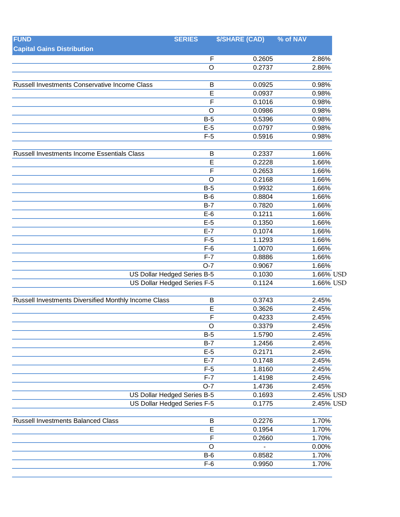| <b>FUND</b>                                                       | <b>SERIES</b>               | <b>\$/SHARE (CAD)</b> | % of NAV       |
|-------------------------------------------------------------------|-----------------------------|-----------------------|----------------|
| <b>Capital Gains Distribution</b>                                 |                             |                       |                |
|                                                                   | $\mathsf F$                 | 0.2605                | 2.86%          |
|                                                                   | $\circ$                     | 0.2737                | 2.86%          |
|                                                                   |                             |                       |                |
| Russell Investments Conservative Income Class                     | B                           | 0.0925                | 0.98%          |
|                                                                   | E                           | 0.0937                | 0.98%          |
|                                                                   | $\mathsf F$                 | 0.1016                | 0.98%          |
|                                                                   | $\circ$                     | 0.0986                | 0.98%          |
|                                                                   | $B-5$                       | 0.5396                | 0.98%          |
|                                                                   | $E-5$                       | 0.0797                | 0.98%          |
|                                                                   | $F-5$                       | 0.5916                | 0.98%          |
| Russell Investments Income Essentials Class                       | B                           | 0.2337                | 1.66%          |
|                                                                   | E                           | 0.2228                | 1.66%          |
|                                                                   | F                           | 0.2653                | 1.66%          |
|                                                                   | $\circ$                     | 0.2168                | 1.66%          |
|                                                                   | $B-5$                       | 0.9932                | 1.66%          |
|                                                                   | $B-6$                       | 0.8804                | 1.66%          |
|                                                                   | $B-7$                       | 0.7820                | 1.66%          |
|                                                                   | $E-6$                       | 0.1211                | 1.66%          |
|                                                                   | $E-5$                       | 0.1350                | 1.66%          |
|                                                                   | $E-7$                       | 0.1074                | 1.66%          |
|                                                                   | $F-5$                       | 1.1293                | 1.66%          |
|                                                                   | $F-6$                       | 1.0070                | 1.66%          |
|                                                                   | $F-7$                       | 0.8886                | 1.66%          |
|                                                                   | $O-7$                       | 0.9067                | 1.66%          |
| <b>US Dollar Hedged Series B-5</b><br>US Dollar Hedged Series F-5 |                             | 0.1030                | $1.66\%$ USD   |
|                                                                   |                             | 0.1124                | 1.66% USD      |
|                                                                   |                             |                       |                |
| Russell Investments Diversified Monthly Income Class              | B                           | 0.3743                | 2.45%          |
|                                                                   | E                           | 0.3626                | 2.45%          |
|                                                                   | F                           | 0.4233                | 2.45%          |
|                                                                   | $\circ$                     | 0.3379                | 2.45%          |
|                                                                   | $B-5$                       | 1.5790                | 2.45%          |
|                                                                   | $B-7$                       | 1.2456                | 2.45%          |
|                                                                   | $E-5$                       | 0.2171                | 2.45%          |
|                                                                   | $E-7$<br>$F-5$              | 0.1748                | 2.45%          |
|                                                                   | $F-7$                       | 1.8160<br>1.4198      | 2.45%<br>2.45% |
|                                                                   | $O-7$                       | 1.4736                | 2.45%          |
|                                                                   | US Dollar Hedged Series B-5 | 0.1693                | 2.45% USD      |
|                                                                   | US Dollar Hedged Series F-5 | 0.1775                | 2.45% USD      |
|                                                                   |                             |                       |                |
| <b>Russell Investments Balanced Class</b>                         | B                           | 0.2276                | 1.70%          |
|                                                                   | E                           | 0.1954                | 1.70%          |
|                                                                   | F                           | 0.2660                | 1.70%          |
|                                                                   | $\circ$                     |                       | 0.00%          |
|                                                                   | $B-6$                       | 0.8582                | 1.70%          |
|                                                                   | $F-6$                       | 0.9950                | 1.70%          |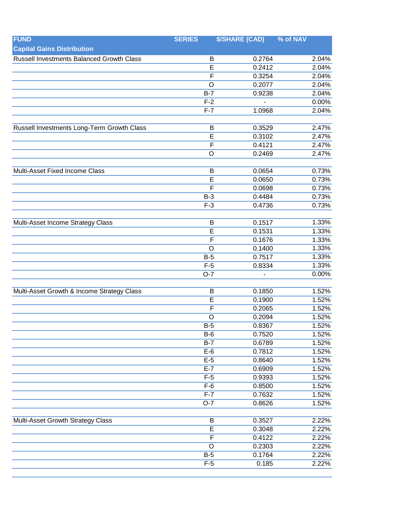| <b>Capital Gains Distribution</b><br>Russell Investments Balanced Growth Class<br>0.2764<br>2.04%<br>B<br>0.2412<br>2.04%<br>E<br>$\overline{F}$<br>0.3254<br>2.04%<br>$\overline{O}$<br>2.04%<br>0.2077<br>0.9238<br>2.04%<br>$B-7$<br>0.00%<br>$F-2$<br>2.04%<br>$F-7$<br>1.0968<br>Russell Investments Long-Term Growth Class<br>0.3529<br>2.47%<br>B<br>E<br>0.3102<br>2.47%<br>$\overline{F}$<br>2.47%<br>0.4121<br>2.47%<br>$\circ$<br>0.2469<br>0.0654<br>0.73%<br>Multi-Asset Fixed Income Class<br>B<br>$\overline{E}$<br>0.73%<br>0.0650<br>F<br>0.73%<br>0.0698<br>0.73%<br>0.4484<br>$B-3$<br>0.73%<br>$F-3$<br>0.4736<br>1.33%<br>Multi-Asset Income Strategy Class<br>0.1517<br>B<br>E<br>0.1531<br>1.33%<br>1.33%<br>0.1676<br>$\mathsf{F}$<br>0.1400<br>1.33%<br>$\circ$<br>0.7517<br>1.33%<br>$B-5$<br>1.33%<br>$F-5$<br>0.8334<br>$O-7$<br>0.00%<br>0.1850<br>1.52%<br>Multi-Asset Growth & Income Strategy Class<br>B<br>0.1900<br>1.52%<br>E<br>$\mathsf F$<br>0.2065<br>1.52%<br>$\circ$<br>0.2094<br>1.52%<br>1.52%<br>0.8367<br>$B-5$<br>1.52%<br>$B-6$<br>0.7520<br>$B-7$<br>0.6789<br>1.52%<br>$E-6$<br>0.7812<br>1.52%<br>$E-5$<br>0.8640<br>1.52%<br>$E-7$<br>0.6909<br>1.52%<br>$F-5$<br>0.9393<br>1.52%<br>$F-6$<br>1.52%<br>0.8500<br>$F-7$<br>0.7632<br>1.52%<br>$O-7$<br>0.8626<br>1.52%<br>Multi-Asset Growth Strategy Class<br>0.3527<br>2.22%<br>B<br>$\overline{\mathsf{E}}$<br>0.3048<br>2.22%<br>$\overline{F}$<br>0.4122<br>2.22%<br>$\circ$<br>0.2303<br>2.22%<br>$B-5$<br>0.1764<br>2.22%<br>$F-5$<br>0.185<br>2.22% | <b>FUND</b> | <b>SERIES</b> | <b>\$/SHARE (CAD)</b> | % of NAV |
|---------------------------------------------------------------------------------------------------------------------------------------------------------------------------------------------------------------------------------------------------------------------------------------------------------------------------------------------------------------------------------------------------------------------------------------------------------------------------------------------------------------------------------------------------------------------------------------------------------------------------------------------------------------------------------------------------------------------------------------------------------------------------------------------------------------------------------------------------------------------------------------------------------------------------------------------------------------------------------------------------------------------------------------------------------------------------------------------------------------------------------------------------------------------------------------------------------------------------------------------------------------------------------------------------------------------------------------------------------------------------------------------------------------------------------------------------------------------------------------------------------------------------------------------------------------|-------------|---------------|-----------------------|----------|
|                                                                                                                                                                                                                                                                                                                                                                                                                                                                                                                                                                                                                                                                                                                                                                                                                                                                                                                                                                                                                                                                                                                                                                                                                                                                                                                                                                                                                                                                                                                                                               |             |               |                       |          |
|                                                                                                                                                                                                                                                                                                                                                                                                                                                                                                                                                                                                                                                                                                                                                                                                                                                                                                                                                                                                                                                                                                                                                                                                                                                                                                                                                                                                                                                                                                                                                               |             |               |                       |          |
|                                                                                                                                                                                                                                                                                                                                                                                                                                                                                                                                                                                                                                                                                                                                                                                                                                                                                                                                                                                                                                                                                                                                                                                                                                                                                                                                                                                                                                                                                                                                                               |             |               |                       |          |
|                                                                                                                                                                                                                                                                                                                                                                                                                                                                                                                                                                                                                                                                                                                                                                                                                                                                                                                                                                                                                                                                                                                                                                                                                                                                                                                                                                                                                                                                                                                                                               |             |               |                       |          |
|                                                                                                                                                                                                                                                                                                                                                                                                                                                                                                                                                                                                                                                                                                                                                                                                                                                                                                                                                                                                                                                                                                                                                                                                                                                                                                                                                                                                                                                                                                                                                               |             |               |                       |          |
|                                                                                                                                                                                                                                                                                                                                                                                                                                                                                                                                                                                                                                                                                                                                                                                                                                                                                                                                                                                                                                                                                                                                                                                                                                                                                                                                                                                                                                                                                                                                                               |             |               |                       |          |
|                                                                                                                                                                                                                                                                                                                                                                                                                                                                                                                                                                                                                                                                                                                                                                                                                                                                                                                                                                                                                                                                                                                                                                                                                                                                                                                                                                                                                                                                                                                                                               |             |               |                       |          |
|                                                                                                                                                                                                                                                                                                                                                                                                                                                                                                                                                                                                                                                                                                                                                                                                                                                                                                                                                                                                                                                                                                                                                                                                                                                                                                                                                                                                                                                                                                                                                               |             |               |                       |          |
|                                                                                                                                                                                                                                                                                                                                                                                                                                                                                                                                                                                                                                                                                                                                                                                                                                                                                                                                                                                                                                                                                                                                                                                                                                                                                                                                                                                                                                                                                                                                                               |             |               |                       |          |
|                                                                                                                                                                                                                                                                                                                                                                                                                                                                                                                                                                                                                                                                                                                                                                                                                                                                                                                                                                                                                                                                                                                                                                                                                                                                                                                                                                                                                                                                                                                                                               |             |               |                       |          |
|                                                                                                                                                                                                                                                                                                                                                                                                                                                                                                                                                                                                                                                                                                                                                                                                                                                                                                                                                                                                                                                                                                                                                                                                                                                                                                                                                                                                                                                                                                                                                               |             |               |                       |          |
|                                                                                                                                                                                                                                                                                                                                                                                                                                                                                                                                                                                                                                                                                                                                                                                                                                                                                                                                                                                                                                                                                                                                                                                                                                                                                                                                                                                                                                                                                                                                                               |             |               |                       |          |
|                                                                                                                                                                                                                                                                                                                                                                                                                                                                                                                                                                                                                                                                                                                                                                                                                                                                                                                                                                                                                                                                                                                                                                                                                                                                                                                                                                                                                                                                                                                                                               |             |               |                       |          |
|                                                                                                                                                                                                                                                                                                                                                                                                                                                                                                                                                                                                                                                                                                                                                                                                                                                                                                                                                                                                                                                                                                                                                                                                                                                                                                                                                                                                                                                                                                                                                               |             |               |                       |          |
|                                                                                                                                                                                                                                                                                                                                                                                                                                                                                                                                                                                                                                                                                                                                                                                                                                                                                                                                                                                                                                                                                                                                                                                                                                                                                                                                                                                                                                                                                                                                                               |             |               |                       |          |
|                                                                                                                                                                                                                                                                                                                                                                                                                                                                                                                                                                                                                                                                                                                                                                                                                                                                                                                                                                                                                                                                                                                                                                                                                                                                                                                                                                                                                                                                                                                                                               |             |               |                       |          |
|                                                                                                                                                                                                                                                                                                                                                                                                                                                                                                                                                                                                                                                                                                                                                                                                                                                                                                                                                                                                                                                                                                                                                                                                                                                                                                                                                                                                                                                                                                                                                               |             |               |                       |          |
|                                                                                                                                                                                                                                                                                                                                                                                                                                                                                                                                                                                                                                                                                                                                                                                                                                                                                                                                                                                                                                                                                                                                                                                                                                                                                                                                                                                                                                                                                                                                                               |             |               |                       |          |
|                                                                                                                                                                                                                                                                                                                                                                                                                                                                                                                                                                                                                                                                                                                                                                                                                                                                                                                                                                                                                                                                                                                                                                                                                                                                                                                                                                                                                                                                                                                                                               |             |               |                       |          |
|                                                                                                                                                                                                                                                                                                                                                                                                                                                                                                                                                                                                                                                                                                                                                                                                                                                                                                                                                                                                                                                                                                                                                                                                                                                                                                                                                                                                                                                                                                                                                               |             |               |                       |          |
|                                                                                                                                                                                                                                                                                                                                                                                                                                                                                                                                                                                                                                                                                                                                                                                                                                                                                                                                                                                                                                                                                                                                                                                                                                                                                                                                                                                                                                                                                                                                                               |             |               |                       |          |
|                                                                                                                                                                                                                                                                                                                                                                                                                                                                                                                                                                                                                                                                                                                                                                                                                                                                                                                                                                                                                                                                                                                                                                                                                                                                                                                                                                                                                                                                                                                                                               |             |               |                       |          |
|                                                                                                                                                                                                                                                                                                                                                                                                                                                                                                                                                                                                                                                                                                                                                                                                                                                                                                                                                                                                                                                                                                                                                                                                                                                                                                                                                                                                                                                                                                                                                               |             |               |                       |          |
|                                                                                                                                                                                                                                                                                                                                                                                                                                                                                                                                                                                                                                                                                                                                                                                                                                                                                                                                                                                                                                                                                                                                                                                                                                                                                                                                                                                                                                                                                                                                                               |             |               |                       |          |
|                                                                                                                                                                                                                                                                                                                                                                                                                                                                                                                                                                                                                                                                                                                                                                                                                                                                                                                                                                                                                                                                                                                                                                                                                                                                                                                                                                                                                                                                                                                                                               |             |               |                       |          |
|                                                                                                                                                                                                                                                                                                                                                                                                                                                                                                                                                                                                                                                                                                                                                                                                                                                                                                                                                                                                                                                                                                                                                                                                                                                                                                                                                                                                                                                                                                                                                               |             |               |                       |          |
|                                                                                                                                                                                                                                                                                                                                                                                                                                                                                                                                                                                                                                                                                                                                                                                                                                                                                                                                                                                                                                                                                                                                                                                                                                                                                                                                                                                                                                                                                                                                                               |             |               |                       |          |
|                                                                                                                                                                                                                                                                                                                                                                                                                                                                                                                                                                                                                                                                                                                                                                                                                                                                                                                                                                                                                                                                                                                                                                                                                                                                                                                                                                                                                                                                                                                                                               |             |               |                       |          |
|                                                                                                                                                                                                                                                                                                                                                                                                                                                                                                                                                                                                                                                                                                                                                                                                                                                                                                                                                                                                                                                                                                                                                                                                                                                                                                                                                                                                                                                                                                                                                               |             |               |                       |          |
|                                                                                                                                                                                                                                                                                                                                                                                                                                                                                                                                                                                                                                                                                                                                                                                                                                                                                                                                                                                                                                                                                                                                                                                                                                                                                                                                                                                                                                                                                                                                                               |             |               |                       |          |
|                                                                                                                                                                                                                                                                                                                                                                                                                                                                                                                                                                                                                                                                                                                                                                                                                                                                                                                                                                                                                                                                                                                                                                                                                                                                                                                                                                                                                                                                                                                                                               |             |               |                       |          |
|                                                                                                                                                                                                                                                                                                                                                                                                                                                                                                                                                                                                                                                                                                                                                                                                                                                                                                                                                                                                                                                                                                                                                                                                                                                                                                                                                                                                                                                                                                                                                               |             |               |                       |          |
|                                                                                                                                                                                                                                                                                                                                                                                                                                                                                                                                                                                                                                                                                                                                                                                                                                                                                                                                                                                                                                                                                                                                                                                                                                                                                                                                                                                                                                                                                                                                                               |             |               |                       |          |
|                                                                                                                                                                                                                                                                                                                                                                                                                                                                                                                                                                                                                                                                                                                                                                                                                                                                                                                                                                                                                                                                                                                                                                                                                                                                                                                                                                                                                                                                                                                                                               |             |               |                       |          |
|                                                                                                                                                                                                                                                                                                                                                                                                                                                                                                                                                                                                                                                                                                                                                                                                                                                                                                                                                                                                                                                                                                                                                                                                                                                                                                                                                                                                                                                                                                                                                               |             |               |                       |          |
|                                                                                                                                                                                                                                                                                                                                                                                                                                                                                                                                                                                                                                                                                                                                                                                                                                                                                                                                                                                                                                                                                                                                                                                                                                                                                                                                                                                                                                                                                                                                                               |             |               |                       |          |
|                                                                                                                                                                                                                                                                                                                                                                                                                                                                                                                                                                                                                                                                                                                                                                                                                                                                                                                                                                                                                                                                                                                                                                                                                                                                                                                                                                                                                                                                                                                                                               |             |               |                       |          |
|                                                                                                                                                                                                                                                                                                                                                                                                                                                                                                                                                                                                                                                                                                                                                                                                                                                                                                                                                                                                                                                                                                                                                                                                                                                                                                                                                                                                                                                                                                                                                               |             |               |                       |          |
|                                                                                                                                                                                                                                                                                                                                                                                                                                                                                                                                                                                                                                                                                                                                                                                                                                                                                                                                                                                                                                                                                                                                                                                                                                                                                                                                                                                                                                                                                                                                                               |             |               |                       |          |
|                                                                                                                                                                                                                                                                                                                                                                                                                                                                                                                                                                                                                                                                                                                                                                                                                                                                                                                                                                                                                                                                                                                                                                                                                                                                                                                                                                                                                                                                                                                                                               |             |               |                       |          |
|                                                                                                                                                                                                                                                                                                                                                                                                                                                                                                                                                                                                                                                                                                                                                                                                                                                                                                                                                                                                                                                                                                                                                                                                                                                                                                                                                                                                                                                                                                                                                               |             |               |                       |          |
|                                                                                                                                                                                                                                                                                                                                                                                                                                                                                                                                                                                                                                                                                                                                                                                                                                                                                                                                                                                                                                                                                                                                                                                                                                                                                                                                                                                                                                                                                                                                                               |             |               |                       |          |
|                                                                                                                                                                                                                                                                                                                                                                                                                                                                                                                                                                                                                                                                                                                                                                                                                                                                                                                                                                                                                                                                                                                                                                                                                                                                                                                                                                                                                                                                                                                                                               |             |               |                       |          |
|                                                                                                                                                                                                                                                                                                                                                                                                                                                                                                                                                                                                                                                                                                                                                                                                                                                                                                                                                                                                                                                                                                                                                                                                                                                                                                                                                                                                                                                                                                                                                               |             |               |                       |          |